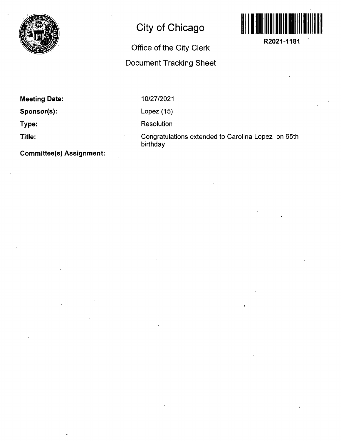

## **City of Chicago**

## **Office of the City Clerk**

## **Document Tracking Sheet**



**Meeting Date:** 

Sponsor(s):

**Type:** 

**Title:** 

Ŋ

**Committee(s) Assignment:** 

10/27/2021

Lopez (15)

Resolution

Congratulations extended to Carolina Lopez on 65th birthday